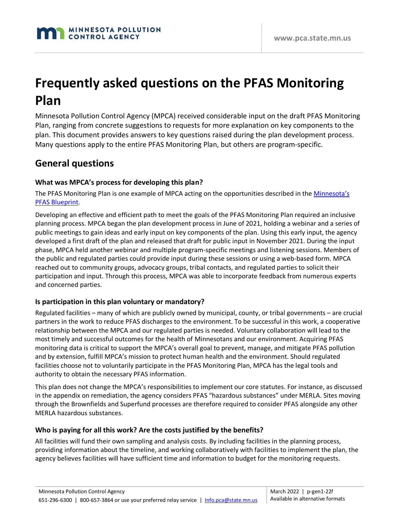# **Frequently asked questions on the PFAS Monitoring Plan**

Minnesota Pollution Control Agency (MPCA) received considerable input on the draft PFAS Monitoring Plan, ranging from concrete suggestions to requests for more explanation on key components to the plan. This document provides answers to key questions raised during the plan development process. Many questions apply to the entire PFAS Monitoring Plan, but others are program-specific.

### **General questions**

#### **What was MPCA's process for developing this plan?**

The PFAS Monitoring Plan is one example of MPCA acting on the opportunities described in the *Minnesota's* [PFAS Blueprint.](https://www.pca.state.mn.us/waste/minnesotas-pfas-blueprint)

Developing an effective and efficient path to meet the goals of the PFAS Monitoring Plan required an inclusive planning process. MPCA began the plan development process in June of 2021, holding a webinar and a series of public meetings to gain ideas and early input on key components of the plan. Using this early input, the agency developed a first draft of the plan and released that draft for public input in November 2021. During the input phase, MPCA held another webinar and multiple program-specific meetings and listening sessions. Members of the public and regulated parties could provide input during these sessions or using a web-based form. MPCA reached out to community groups, advocacy groups, tribal contacts, and regulated parties to solicit their participation and input. Through this process, MPCA was able to incorporate feedback from numerous experts and concerned parties.

#### **Is participation in this plan voluntary or mandatory?**

Regulated facilities – many of which are publicly owned by municipal, county, or tribal governments – are crucial partners in the work to reduce PFAS discharges to the environment. To be successful in this work, a cooperative relationship between the MPCA and our regulated parties is needed. Voluntary collaboration will lead to the most timely and successful outcomes for the health of Minnesotans and our environment. Acquiring PFAS monitoring data is critical to support the MPCA's overall goal to prevent, manage, and mitigate PFAS pollution and by extension, fulfill MPCA's mission to protect human health and the environment. Should regulated facilities choose not to voluntarily participate in the PFAS Monitoring Plan, MPCA has the legal tools and authority to obtain the necessary PFAS information.

This plan does not change the MPCA's responsibilities to implement our core statutes. For instance, as discussed in the appendix on remediation, the agency considers PFAS "hazardous substances" under MERLA. Sites moving through the Brownfields and Superfund processes are therefore required to consider PFAS alongside any other MERLA hazardous substances.

#### **Who is paying for all this work? Are the costs justified by the benefits?**

All facilities will fund their own sampling and analysis costs. By including facilities in the planning process, providing information about the timeline, and working collaboratively with facilities to implement the plan, the agency believes facilities will have sufficient time and information to budget for the monitoring requests.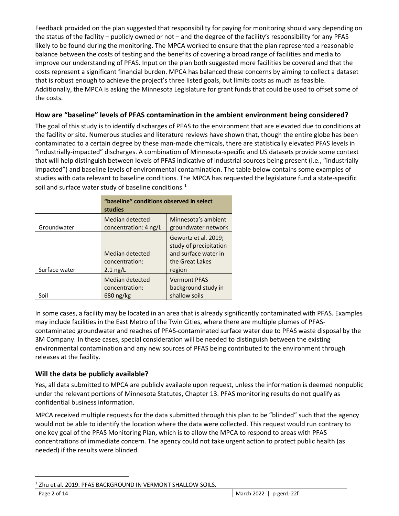Feedback provided on the plan suggested that responsibility for paying for monitoring should vary depending on the status of the facility – publicly owned or not – and the degree of the facility's responsibility for any PFAS likely to be found during the monitoring. The MPCA worked to ensure that the plan represented a reasonable balance between the costs of testing and the benefits of covering a broad range of facilities and media to improve our understanding of PFAS. Input on the plan both suggested more facilities be covered and that the costs represent a significant financial burden. MPCA has balanced these concerns by aiming to collect a dataset that is robust enough to achieve the project's three listed goals, but limits costs as much as feasible. Additionally, the MPCA is asking the Minnesota Legislature for grant funds that could be used to offset some of the costs.

#### **How are "baseline" levels of PFAS contamination in the ambient environment being considered?**

The goal of this study is to identify discharges of PFAS to the environment that are elevated due to conditions at the facility or site. Numerous studies and literature reviews have shown that, though the entire globe has been contaminated to a certain degree by these man-made chemicals, there are statistically elevated PFAS levels in "industrially-impacted" discharges. A combination of Minnesota-specific and US datasets provide some context that will help distinguish between levels of PFAS indicative of industrial sources being present (i.e., "industrially impacted") and baseline levels of environmental contamination. The table below contains some examples of studies with data relevant to baseline conditions. The MPCA has requested the legislature fund a state-specific soil and surface water study of baseline conditions. $<sup>1</sup>$  $<sup>1</sup>$  $<sup>1</sup>$ </sup>

|               | "baseline" conditions observed in select<br>studies |                                                                                                     |
|---------------|-----------------------------------------------------|-----------------------------------------------------------------------------------------------------|
| Groundwater   | Median detected<br>concentration: 4 ng/L            | Minnesota's ambient<br>groundwater network                                                          |
| Surface water | Median detected<br>concentration:<br>$2.1$ ng/L     | Gewurtz et al. 2019;<br>study of precipitation<br>and surface water in<br>the Great Lakes<br>region |
| Soil          | Median detected<br>concentration:<br>680 ng/kg      | <b>Vermont PFAS</b><br>background study in<br>shallow soils                                         |

In some cases, a facility may be located in an area that is already significantly contaminated with PFAS. Examples may include facilities in the East Metro of the Twin Cities, where there are multiple plumes of PFAScontaminated groundwater and reaches of PFAS-contaminated surface water due to PFAS waste disposal by the 3M Company. In these cases, special consideration will be needed to distinguish between the existing environmental contamination and any new sources of PFAS being contributed to the environment through releases at the facility.

#### **Will the data be publicly available?**

Yes, all data submitted to MPCA are publicly available upon request, unless the information is deemed nonpublic under the relevant portions of Minnesota Statutes, Chapter 13. PFAS monitoring results do not qualify as confidential business information.

MPCA received multiple requests for the data submitted through this plan to be "blinded" such that the agency would not be able to identify the location where the data were collected. This request would run contrary to one key goal of the PFAS Monitoring Plan, which is to allow the MPCA to respond to areas with PFAS concentrations of immediate concern. The agency could not take urgent action to protect public health (as needed) if the results were blinded.

<span id="page-1-0"></span><sup>&</sup>lt;sup>1</sup> Zhu et al. 2019. PFAS BACKGROUND IN VERMONT SHALLOW SOILS.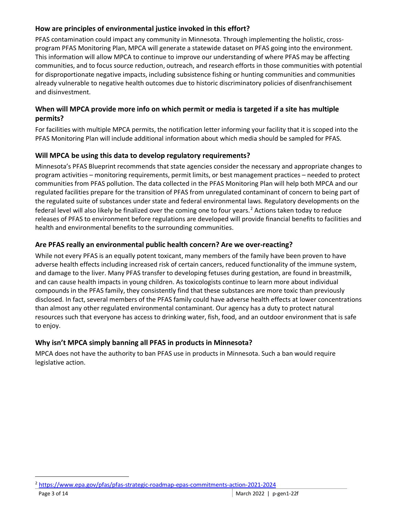#### **How are principles of environmental justice invoked in this effort?**

PFAS contamination could impact any community in Minnesota. Through implementing the holistic, crossprogram PFAS Monitoring Plan, MPCA will generate a statewide dataset on PFAS going into the environment. This information will allow MPCA to continue to improve our understanding of where PFAS may be affecting communities, and to focus source reduction, outreach, and research efforts in those communities with potential for disproportionate negative impacts, including subsistence fishing or hunting communities and communities already vulnerable to negative health outcomes due to historic discriminatory policies of disenfranchisement and disinvestment.

#### **When will MPCA provide more info on which permit or media is targeted if a site has multiple permits?**

For facilities with multiple MPCA permits, the notification letter informing your facility that it is scoped into the PFAS Monitoring Plan will include additional information about which media should be sampled for PFAS.

#### **Will MPCA be using this data to develop regulatory requirements?**

Minnesota's PFAS Blueprint recommends that state agencies consider the necessary and appropriate changes to program activities – monitoring requirements, permit limits, or best management practices – needed to protect communities from PFAS pollution. The data collected in the PFAS Monitoring Plan will help both MPCA and our regulated facilities prepare for the transition of PFAS from unregulated contaminant of concern to being part of the regulated suite of substances under state and federal environmental laws. Regulatory developments on the federal level will also likely be finalized over the coming one to four years.<sup>[2](#page-2-0)</sup> Actions taken today to reduce releases of PFAS to environment before regulations are developed will provide financial benefits to facilities and health and environmental benefits to the surrounding communities.

#### **Are PFAS really an environmental public health concern? Are we over-reacting?**

While not every PFAS is an equally potent toxicant, many members of the family have been proven to have adverse health effects including increased risk of certain cancers, reduced functionality of the immune system, and damage to the liver. Many PFAS transfer to developing fetuses during gestation, are found in breastmilk, and can cause health impacts in young children. As toxicologists continue to learn more about individual compounds in the PFAS family, they consistently find that these substances are more toxic than previously disclosed. In fact, several members of the PFAS family could have adverse health effects at lower concentrations than almost any other regulated environmental contaminant. Our agency has a duty to protect natural resources such that everyone has access to drinking water, fish, food, and an outdoor environment that is safe to enjoy.

#### **Why isn't MPCA simply banning all PFAS in products in Minnesota?**

MPCA does not have the authority to ban PFAS use in products in Minnesota. Such a ban would require legislative action.

<span id="page-2-0"></span> <sup>2</sup> <https://www.epa.gov/pfas/pfas-strategic-roadmap-epas-commitments-action-2021-2024>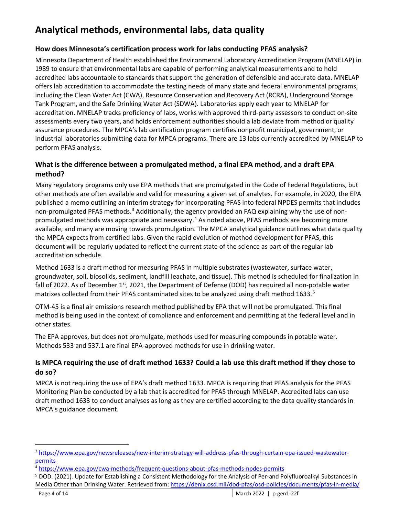# **Analytical methods, environmental labs, data quality**

#### **How does Minnesota's certification process work for labs conducting PFAS analysis?**

Minnesota Department of Health established the Environmental Laboratory Accreditation Program (MNELAP) in 1989 to ensure that environmental labs are capable of performing analytical measurements and to hold accredited labs accountable to standards that support the generation of defensible and accurate data. MNELAP offers lab accreditation to accommodate the testing needs of many state and federal environmental programs, including the Clean Water Act (CWA), Resource Conservation and Recovery Act (RCRA), Underground Storage Tank Program, and the Safe Drinking Water Act (SDWA). Laboratories apply each year to MNELAP for accreditation. MNELAP tracks proficiency of labs, works with approved third-party assessors to conduct on-site assessments every two years, and holds enforcement authorities should a lab deviate from method or quality assurance procedures. The MPCA's lab certification program certifies nonprofit municipal, government, or industrial laboratories submitting data for MPCA programs. There are 13 labs currently accredited by MNELAP to perform PFAS analysis.

#### **What is the difference between a promulgated method, a final EPA method, and a draft EPA method?**

Many regulatory programs only use EPA methods that are promulgated in the Code of Federal Regulations, but other methods are often available and valid for measuring a given set of analytes. For example, in 2020, the EPA published a memo outlining an interim strategy for incorporating PFAS into federal NPDES permits that includes non-promulgated PFAS methods.<sup>[3](#page-3-0)</sup> Additionally, the agency provided an FAQ explaining why the use of nonpromulgated methods was appropriate and necessary.[4](#page-3-1) As noted above, PFAS methods are becoming more available, and many are moving towards promulgation. The MPCA analytical guidance outlines what data quality the MPCA expects from certified labs. Given the rapid evolution of method development for PFAS, this document will be regularly updated to reflect the current state of the science as part of the regular lab accreditation schedule.

Method 1633 is a draft method for measuring PFAS in multiple substrates (wastewater, surface water, groundwater, soil, biosolids, sediment, landfill leachate, and tissue). This method is scheduled for finalization in fall of 2022. As of December  $1<sup>st</sup>$ , 2021, the Department of Defense (DOD) has required all non-potable water matrixes collected from their PFAS contaminated sites to be analyzed using draft method 1633.<sup>[5](#page-3-2)</sup>

OTM-45 is a final air emissions research method published by EPA that will not be promulgated. This final method is being used in the context of compliance and enforcement and permitting at the federal level and in other states.

The EPA approves, but does not promulgate, methods used for measuring compounds in potable water. Methods 533 and 537.1 are final EPA-approved methods for use in drinking water.

#### **Is MPCA requiring the use of draft method 1633? Could a lab use this draft method if they chose to do so?**

MPCA is not requiring the use of EPA's draft method 1633. MPCA is requiring that PFAS analysis for the PFAS Monitoring Plan be conducted by a lab that is accredited for PFAS through MNELAP. Accredited labs can use draft method 1633 to conduct analyses as long as they are certified according to the data quality standards in MPCA's guidance document.

<span id="page-3-0"></span> <sup>3</sup> [https://www.epa.gov/newsreleases/new-interim-strategy-will-address-pfas-through-certain-epa-issued-wastewater](https://www.epa.gov/newsreleases/new-interim-strategy-will-address-pfas-through-certain-epa-issued-wastewater-permits)[permits](https://www.epa.gov/newsreleases/new-interim-strategy-will-address-pfas-through-certain-epa-issued-wastewater-permits)

<span id="page-3-1"></span><sup>4</sup> <https://www.epa.gov/cwa-methods/frequent-questions-about-pfas-methods-npdes-permits>

<span id="page-3-2"></span><sup>&</sup>lt;sup>5</sup> DOD. (2021). Update for Establishing a Consistent Methodology for the Analysis of Per-and Polyfluoroalkyl Substances in Media Other than Drinking Water. Retrieved from:<https://denix.osd.mil/dod-pfas/osd-policies/documents/pfas-in-media/>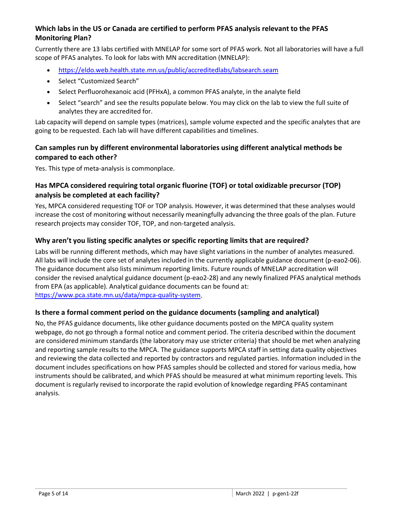#### **Which labs in the US or Canada are certified to perform PFAS analysis relevant to the PFAS Monitoring Plan?**

Currently there are 13 labs certified with MNELAP for some sort of PFAS work. Not all laboratories will have a full scope of PFAS analytes. To look for labs with MN accreditation (MNELAP):

- <https://eldo.web.health.state.mn.us/public/accreditedlabs/labsearch.seam>
- Select "Customized Search"
- Select Perfluorohexanoic acid (PFHxA), a common PFAS analyte, in the analyte field
- Select "search" and see the results populate below. You may click on the lab to view the full suite of analytes they are accredited for.

Lab capacity will depend on sample types (matrices), sample volume expected and the specific analytes that are going to be requested. Each lab will have different capabilities and timelines.

#### **Can samples run by different environmental laboratories using different analytical methods be compared to each other?**

Yes. This type of meta-analysis is commonplace.

#### **Has MPCA considered requiring total organic fluorine (TOF) or total oxidizable precursor (TOP) analysis be completed at each facility?**

Yes, MPCA considered requesting TOF or TOP analysis. However, it was determined that these analyses would increase the cost of monitoring without necessarily meaningfully advancing the three goals of the plan. Future research projects may consider TOF, TOP, and non-targeted analysis.

#### **Why aren't you listing specific analytes or specific reporting limits that are required?**

Labs will be running different methods, which may have slight variations in the number of analytes measured. All labs will include the core set of analytes included in the currently applicable guidance document (p-eao2-06). The guidance document also lists minimum reporting limits. Future rounds of MNELAP accreditation will consider the revised analytical guidance document (p-eao2-28) and any newly finalized PFAS analytical methods from EPA (as applicable). Analytical guidance documents can be found at: [https://www.pca.state.mn.us/data/mpca-quality-system.](https://www.pca.state.mn.us/data/mpca-quality-system)

#### **Is there a formal comment period on the guidance documents (sampling and analytical)**

No, the PFAS guidance documents, like other guidance documents posted on the MPCA quality system webpage, do not go through a formal notice and comment period. The criteria described within the document are considered minimum standards (the laboratory may use stricter criteria) that should be met when analyzing and reporting sample results to the MPCA. The guidance supports MPCA staff in setting data quality objectives and reviewing the data collected and reported by contractors and regulated parties. Information included in the document includes specifications on how PFAS samples should be collected and stored for various media, how instruments should be calibrated, and which PFAS should be measured at what minimum reporting levels. This document is regularly revised to incorporate the rapid evolution of knowledge regarding PFAS contaminant analysis.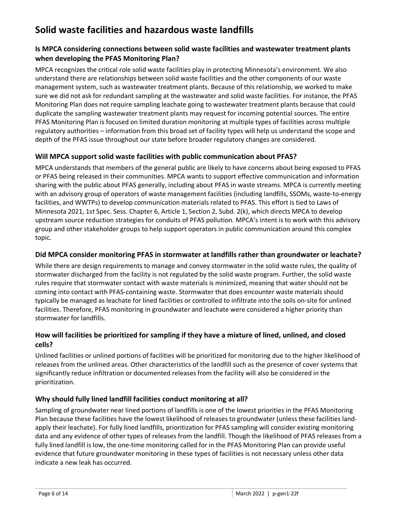# **Solid waste facilities and hazardous waste landfills**

#### **Is MPCA considering connections between solid waste facilities and wastewater treatment plants when developing the PFAS Monitoring Plan?**

MPCA recognizes the critical role solid waste facilities play in protecting Minnesota's environment. We also understand there are relationships between solid waste facilities and the other components of our waste management system, such as wastewater treatment plants. Because of this relationship, we worked to make sure we did not ask for redundant sampling at the wastewater and solid waste facilities. For instance, the PFAS Monitoring Plan does not require sampling leachate going to wastewater treatment plants because that could duplicate the sampling wastewater treatment plants may request for incoming potential sources. The entire PFAS Monitoring Plan is focused on limited duration monitoring at multiple types of facilities across multiple regulatory authorities – information from this broad set of facility types will help us understand the scope and depth of the PFAS issue throughout our state before broader regulatory changes are considered.

#### **Will MPCA support solid waste facilities with public communication about PFAS?**

MPCA understands that members of the general public are likely to have concerns about being exposed to PFAS or PFAS being released in their communities. MPCA wants to support effective communication and information sharing with the public about PFAS generally, including about PFAS in waste streams. MPCA is currently meeting with an advisory group of operators of waste management facilities (including landfills, SSOMs, waste-to-energy facilities, and WWTPs) to develop communication materials related to PFAS. This effort is tied to Laws of Minnesota 2021, 1st Spec. Sess. Chapter 6, Article 1, Section 2, Subd. 2(k), which directs MPCA to develop upstream source reduction strategies for conduits of PFAS pollution. MPCA's intent is to work with this advisory group and other stakeholder groups to help support operators in public communication around this complex topic.

#### **Did MPCA consider monitoring PFAS in stormwater at landfills rather than groundwater or leachate?**

While there are design requirements to manage and convey stormwater in the solid waste rules, the quality of stormwater discharged from the facility is not regulated by the solid waste program. Further, the solid waste rules require that stormwater contact with waste materials is minimized, meaning that water should not be coming into contact with PFAS-containing waste. Stormwater that does encounter waste materials should typically be managed as leachate for lined facilities or controlled to infiltrate into the soils on-site for unlined facilities. Therefore, PFAS monitoring in groundwater and leachate were considered a higher priority than stormwater for landfills.

#### **How will facilities be prioritized for sampling if they have a mixture of lined, unlined, and closed cells?**

Unlined facilities or unlined portions of facilities will be prioritized for monitoring due to the higher likelihood of releases from the unlined areas. Other characteristics of the landfill such as the presence of cover systems that significantly reduce infiltration or documented releases from the facility will also be considered in the prioritization.

#### **Why should fully lined landfill facilities conduct monitoring at all?**

Sampling of groundwater near lined portions of landfills is one of the lowest priorities in the PFAS Monitoring Plan because these facilities have the lowest likelihood of releases to groundwater (unless these facilities landapply their leachate). For fully lined landfills, prioritization for PFAS sampling will consider existing monitoring data and any evidence of other types of releases from the landfill. Though the likelihood of PFAS releases from a fully lined landfill is low, the one-time monitoring called for in the PFAS Monitoring Plan can provide useful evidence that future groundwater monitoring in these types of facilities is not necessary unless other data indicate a new leak has occurred.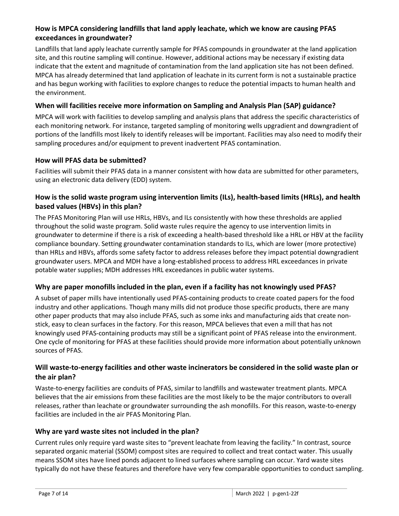#### **How is MPCA considering landfills that land apply leachate, which we know are causing PFAS exceedances in groundwater?**

Landfills that land apply leachate currently sample for PFAS compounds in groundwater at the land application site, and this routine sampling will continue. However, additional actions may be necessary if existing data indicate that the extent and magnitude of contamination from the land application site has not been defined. MPCA has already determined that land application of leachate in its current form is not a sustainable practice and has begun working with facilities to explore changes to reduce the potential impacts to human health and the environment.

#### **When will facilities receive more information on Sampling and Analysis Plan (SAP) guidance?**

MPCA will work with facilities to develop sampling and analysis plans that address the specific characteristics of each monitoring network. For instance, targeted sampling of monitoring wells upgradient and downgradient of portions of the landfills most likely to identify releases will be important. Facilities may also need to modify their sampling procedures and/or equipment to prevent inadvertent PFAS contamination.

#### **How will PFAS data be submitted?**

Facilities will submit their PFAS data in a manner consistent with how data are submitted for other parameters, using an electronic data delivery (EDD) system.

#### **How is the solid waste program using intervention limits (ILs), health-based limits (HRLs), and health based values (HBVs) in this plan?**

The PFAS Monitoring Plan will use HRLs, HBVs, and ILs consistently with how these thresholds are applied throughout the solid waste program. Solid waste rules require the agency to use intervention limits in groundwater to determine if there is a risk of exceeding a health-based threshold like a HRL or HBV at the facility compliance boundary. Setting groundwater contamination standards to ILs, which are lower (more protective) than HRLs and HBVs, affords some safety factor to address releases before they impact potential downgradient groundwater users. MPCA and MDH have a long-established process to address HRL exceedances in private potable water supplies; MDH addresses HRL exceedances in public water systems.

#### **Why are paper monofills included in the plan, even if a facility has not knowingly used PFAS?**

A subset of paper mills have intentionally used PFAS-containing products to create coated papers for the food industry and other applications. Though many mills did not produce those specific products, there are many other paper products that may also include PFAS, such as some inks and manufacturing aids that create nonstick, easy to clean surfaces in the factory. For this reason, MPCA believes that even a mill that has not knowingly used PFAS-containing products may still be a significant point of PFAS release into the environment. One cycle of monitoring for PFAS at these facilities should provide more information about potentially unknown sources of PFAS.

#### **Will waste-to-energy facilities and other waste incinerators be considered in the solid waste plan or the air plan?**

Waste-to-energy facilities are conduits of PFAS, similar to landfills and wastewater treatment plants. MPCA believes that the air emissions from these facilities are the most likely to be the major contributors to overall releases, rather than leachate or groundwater surrounding the ash monofills. For this reason, waste-to-energy facilities are included in the air PFAS Monitoring Plan.

#### **Why are yard waste sites not included in the plan?**

Current rules only require yard waste sites to "prevent leachate from leaving the facility." In contrast, source separated organic material (SSOM) compost sites are required to collect and treat contact water. This usually means SSOM sites have lined ponds adjacent to lined surfaces where sampling can occur. Yard waste sites typically do not have these features and therefore have very few comparable opportunities to conduct sampling.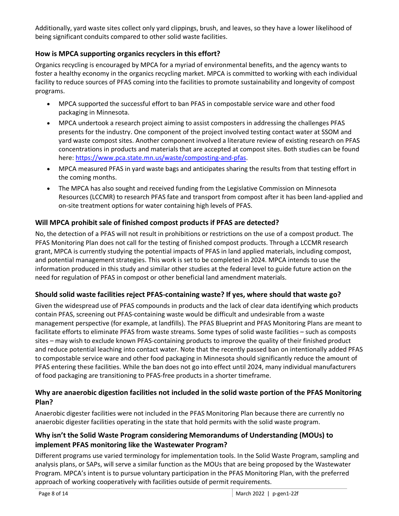Additionally, yard waste sites collect only yard clippings, brush, and leaves, so they have a lower likelihood of being significant conduits compared to other solid waste facilities.

#### **How is MPCA supporting organics recyclers in this effort?**

Organics recycling is encouraged by MPCA for a myriad of environmental benefits, and the agency wants to foster a healthy economy in the organics recycling market. MPCA is committed to working with each individual facility to reduce sources of PFAS coming into the facilities to promote sustainability and longevity of compost programs.

- MPCA supported the successful effort to ban PFAS in compostable service ware and other food packaging in Minnesota.
- MPCA undertook a research project aiming to assist composters in addressing the challenges PFAS presents for the industry. One component of the project involved testing contact water at SSOM and yard waste compost sites. Another component involved a literature review of existing research on PFAS concentrations in products and materials that are accepted at compost sites. Both studies can be found here: [https://www.pca.state.mn.us/waste/composting-and-pfas.](https://www.pca.state.mn.us/waste/composting-and-pfas)
- MPCA measured PFAS in yard waste bags and anticipates sharing the results from that testing effort in the coming months.
- The MPCA has also sought and received funding from the Legislative Commission on Minnesota Resources (LCCMR) to research PFAS fate and transport from compost after it has been land-applied and on-site treatment options for water containing high levels of PFAS.

#### **Will MPCA prohibit sale of finished compost products if PFAS are detected?**

No, the detection of a PFAS will not result in prohibitions or restrictions on the use of a compost product. The PFAS Monitoring Plan does not call for the testing of finished compost products. Through a LCCMR research grant, MPCA is currently studying the potential impacts of PFAS in land applied materials, including compost, and potential management strategies. This work is set to be completed in 2024. MPCA intends to use the information produced in this study and similar other studies at the federal level to guide future action on the need for regulation of PFAS in compost or other beneficial land amendment materials.

#### **Should solid waste facilities reject PFAS-containing waste? If yes, where should that waste go?**

Given the widespread use of PFAS compounds in products and the lack of clear data identifying which products contain PFAS, screening out PFAS-containing waste would be difficult and undesirable from a waste management perspective (for example, at landfills). The PFAS Blueprint and PFAS Monitoring Plans are meant to facilitate efforts to eliminate PFAS from waste streams. Some types of solid waste facilities – such as composts sites – may wish to exclude known PFAS-containing products to improve the quality of their finished product and reduce potential leaching into contact water. Note that the recently passed ban on intentionally added PFAS to compostable service ware and other food packaging in Minnesota should significantly reduce the amount of PFAS entering these facilities. While the ban does not go into effect until 2024, many individual manufacturers of food packaging are transitioning to PFAS-free products in a shorter timeframe.

#### **Why are anaerobic digestion facilities not included in the solid waste portion of the PFAS Monitoring Plan?**

Anaerobic digester facilities were not included in the PFAS Monitoring Plan because there are currently no anaerobic digester facilities operating in the state that hold permits with the solid waste program.

#### **Why isn't the Solid Waste Program considering Memorandums of Understanding (MOUs) to implement PFAS monitoring like the Wastewater Program?**

Different programs use varied terminology for implementation tools. In the Solid Waste Program, sampling and analysis plans, or SAPs, will serve a similar function as the MOUs that are being proposed by the Wastewater Program. MPCA's intent is to pursue voluntary participation in the PFAS Monitoring Plan, with the preferred approach of working cooperatively with facilities outside of permit requirements.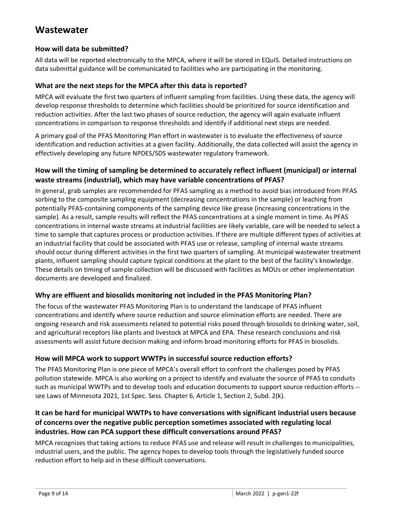### **Wastewater**

#### **How will data be submitted?**

All data will be reported electronically to the MPCA, where it will be stored in EQuIS. Detailed instructions on data submittal guidance will be communicated to facilities who are participating in the monitoring.

#### **What are the next steps for the MPCA after this data is reported?**

MPCA will evaluate the first two quarters of influent sampling from facilities. Using these data, the agency will develop response thresholds to determine which facilities should be prioritized for source identification and reduction activities. After the last two phases of source reduction, the agency will again evaluate influent concentrations in comparison to response thresholds and identify if additional next steps are needed.

A primary goal of the PFAS Monitoring Plan effort in wastewater is to evaluate the effectiveness of source identification and reduction activities at a given facility. Additionally, the data collected will assist the agency in effectively developing any future NPDES/SDS wastewater regulatory framework.

#### **How will the timing of sampling be determined to accurately reflect influent (municipal) or internal waste streams (industrial), which may have variable concentrations of PFAS?**

In general, grab samples are recommended for PFAS sampling as a method to avoid bias introduced from PFAS sorbing to the composite sampling equipment (decreasing concentrations in the sample) or leaching from potentially PFAS-containing components of the sampling device like grease (increasing concentrations in the sample). As a result, sample results will reflect the PFAS concentrations at a single moment in time. As PFAS concentrations in internal waste streams at industrial facilities are likely variable, care will be needed to select a time to sample that captures process or production activities. If there are multiple different types of activities at an industrial facility that could be associated with PFAS use or release, sampling of internal waste streams should occur during different activities in the first two quarters of sampling. At municipal wastewater treatment plants, influent sampling should capture typical conditions at the plant to the best of the facility's knowledge. These details on timing of sample collection will be discussed with facilities as MOUs or other implementation documents are developed and finalized.

#### **Why are effluent and biosolids monitoring not included in the PFAS Monitoring Plan?**

The focus of the wastewater PFAS Monitoring Plan is to understand the landscape of PFAS influent concentrations and identify where source reduction and source elimination efforts are needed. There are ongoing research and risk assessments related to potential risks posed through biosolids to drinking water, soil, and agricultural receptors like plants and livestock at MPCA and EPA. These research conclusions and risk assessments will assist future decision making and inform broad monitoring efforts for PFAS in biosolids.

#### **How will MPCA work to support WWTPs in successful source reduction efforts?**

The PFAS Monitoring Plan is one piece of MPCA's overall effort to confront the challenges posed by PFAS pollution statewide. MPCA is also working on a project to identify and evaluate the source of PFAS to conduits such as municipal WWTPs and to develop tools and education documents to support source reduction efforts - see Laws of Minnesota 2021, 1st Spec. Sess. Chapter 6, Article 1, Section 2, Subd. 2(k).

#### **It can be hard for municipal WWTPs to have conversations with significant industrial users because of concerns over the negative public perception sometimes associated with regulating local industries. How can PCA support these difficult conversations around PFAS?**

MPCA recognizes that taking actions to reduce PFAS use and release will result in challenges to municipalities, industrial users, and the public. The agency hopes to develop tools through the legislatively funded source reduction effort to help aid in these difficult conversations.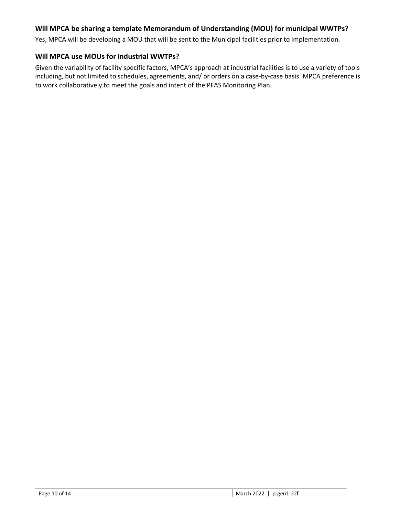#### **Will MPCA be sharing a template Memorandum of Understanding (MOU) for municipal WWTPs?**

Yes, MPCA will be developing a MOU that will be sent to the Municipal facilities prior to implementation.

#### **Will MPCA use MOUs for industrial WWTPs?**

Given the variability of facility specific factors, MPCA's approach at industrial facilities is to use a variety of tools including, but not limited to schedules, agreements, and/ or orders on a case-by-case basis. MPCA preference is to work collaboratively to meet the goals and intent of the PFAS Monitoring Plan.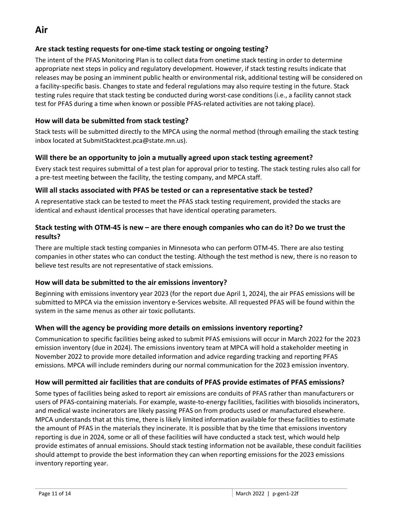## **Air**

#### **Are stack testing requests for one-time stack testing or ongoing testing?**

The intent of the PFAS Monitoring Plan is to collect data from onetime stack testing in order to determine appropriate next steps in policy and regulatory development. However, if stack testing results indicate that releases may be posing an imminent public health or environmental risk, additional testing will be considered on a facility-specific basis. Changes to state and federal regulations may also require testing in the future. Stack testing rules require that stack testing be conducted during worst-case conditions (i.e., a facility cannot stack test for PFAS during a time when known or possible PFAS-related activities are not taking place).

#### **How will data be submitted from stack testing?**

Stack tests will be submitted directly to the MPCA using the normal method (through emailing the stack testing inbox located at SubmitStacktest.pca@state.mn.us).

#### **Will there be an opportunity to join a mutually agreed upon stack testing agreement?**

Every stack test requires submittal of a test plan for approval prior to testing. The stack testing rules also call for a pre-test meeting between the facility, the testing company, and MPCA staff.

#### **Will all stacks associated with PFAS be tested or can a representative stack be tested?**

A representative stack can be tested to meet the PFAS stack testing requirement, provided the stacks are identical and exhaust identical processes that have identical operating parameters.

#### **Stack testing with OTM-45 is new – are there enough companies who can do it? Do we trust the results?**

There are multiple stack testing companies in Minnesota who can perform OTM-45. There are also testing companies in other states who can conduct the testing. Although the test method is new, there is no reason to believe test results are not representative of stack emissions.

#### **How will data be submitted to the air emissions inventory?**

Beginning with emissions inventory year 2023 (for the report due April 1, 2024), the air PFAS emissions will be submitted to MPCA via the emission inventory e-Services website. All requested PFAS will be found within the system in the same menus as other air toxic pollutants.

#### **When will the agency be providing more details on emissions inventory reporting?**

Communication to specific facilities being asked to submit PFAS emissions will occur in March 2022 for the 2023 emission inventory (due in 2024). The emissions inventory team at MPCA will hold a stakeholder meeting in November 2022 to provide more detailed information and advice regarding tracking and reporting PFAS emissions. MPCA will include reminders during our normal communication for the 2023 emission inventory.

#### **How will permitted air facilities that are conduits of PFAS provide estimates of PFAS emissions?**

Some types of facilities being asked to report air emissions are conduits of PFAS rather than manufacturers or users of PFAS-containing materials. For example, waste-to-energy facilities, facilities with biosolids incinerators, and medical waste incinerators are likely passing PFAS on from products used or manufactured elsewhere. MPCA understands that at this time, there is likely limited information available for these facilities to estimate the amount of PFAS in the materials they incinerate. It is possible that by the time that emissions inventory reporting is due in 2024, some or all of these facilities will have conducted a stack test, which would help provide estimates of annual emissions. Should stack testing information not be available, these conduit facilities should attempt to provide the best information they can when reporting emissions for the 2023 emissions inventory reporting year.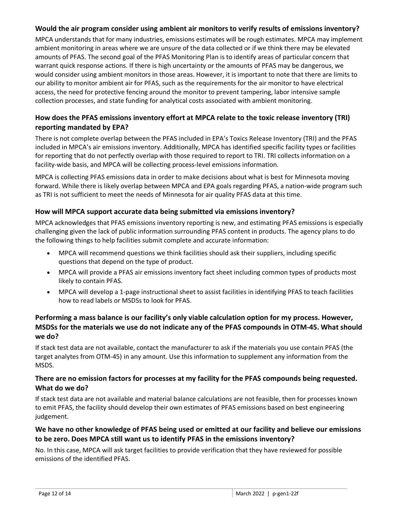#### **Would the air program consider using ambient air monitors to verify results of emissions inventory?**

MPCA understands that for many industries, emissions estimates will be rough estimates. MPCA may implement ambient monitoring in areas where we are unsure of the data collected or if we think there may be elevated amounts of PFAS. The second goal of the PFAS Monitoring Plan is to identify areas of particular concern that warrant quick response actions. If there is high uncertainty or the amounts of PFAS may be dangerous, we would consider using ambient monitors in those areas. However, it is important to note that there are limits to our ability to monitor ambient air for PFAS, such as the requirements for the air monitor to have electrical access, the need for protective fencing around the monitor to prevent tampering, labor intensive sample collection processes, and state funding for analytical costs associated with ambient monitoring.

#### **How does the PFAS emissions inventory effort at MPCA relate to the toxic release inventory (TRI) reporting mandated by EPA?**

There is not complete overlap between the PFAS included in EPA's Toxics Release Inventory (TRI) and the PFAS included in MPCA's air emissions inventory. Additionally, MPCA has identified specific facility types or facilities for reporting that do not perfectly overlap with those required to report to TRI. TRI collects information on a facility-wide basis, and MPCA will be collecting process-level emissions information.

MPCA is collecting PFAS emissions data in order to make decisions about what is best for Minnesota moving forward. While there is likely overlap between MPCA and EPA goals regarding PFAS, a nation-wide program such as TRI is not sufficient to meet the needs of Minnesota for air quality PFAS data at this time.

#### **How will MPCA support accurate data being submitted via emissions inventory?**

MPCA acknowledges that PFAS emissions inventory reporting is new, and estimating PFAS emissions is especially challenging given the lack of public information surrounding PFAS content in products. The agency plans to do the following things to help facilities submit complete and accurate information:

- MPCA will recommend questions we think facilities should ask their suppliers, including specific questions that depend on the type of product.
- MPCA will provide a PFAS air emissions inventory fact sheet including common types of products most likely to contain PFAS.
- MPCA will develop a 1-page instructional sheet to assist facilities in identifying PFAS to teach facilities how to read labels or MSDSs to look for PFAS.

#### **Performing a mass balance is our facility's only viable calculation option for my process. However, MSDSs for the materials we use do not indicate any of the PFAS compounds in OTM-45. What should we do?**

If stack test data are not available, contact the manufacturer to ask if the materials you use contain PFAS (the target analytes from OTM-45) in any amount. Use this information to supplement any information from the MSDS.

#### **There are no emission factors for processes at my facility for the PFAS compounds being requested. What do we do?**

If stack test data are not available and material balance calculations are not feasible, then for processes known to emit PFAS, the facility should develop their own estimates of PFAS emissions based on best engineering judgement.

#### **We have no other knowledge of PFAS being used or emitted at our facility and believe our emissions to be zero. Does MPCA still want us to identify PFAS in the emissions inventory?**

No. In this case, MPCA will ask target facilities to provide verification that they have reviewed for possible emissions of the identified PFAS.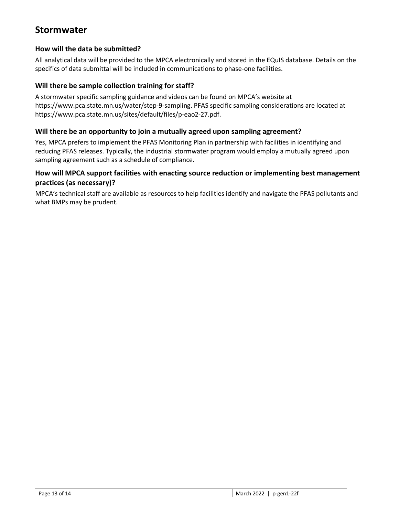### **Stormwater**

#### **How will the data be submitted?**

All analytical data will be provided to the MPCA electronically and stored in the EQuIS database. Details on the specifics of data submittal will be included in communications to phase-one facilities.

#### **Will there be sample collection training for staff?**

A stormwater specific sampling guidance and videos can be found on MPCA's website at [https://www.pca.state.mn.us/water/step-9-sampling.](https://www.pca.state.mn.us/water/step-9-sampling) PFAS specific sampling considerations are located at [https://www.pca.state.mn.us/sites/default/files/p-eao2-27.pdf.](https://www.pca.state.mn.us/sites/default/files/p-eao2-27.pdf)

#### **Will there be an opportunity to join a mutually agreed upon sampling agreement?**

Yes, MPCA prefers to implement the PFAS Monitoring Plan in partnership with facilities in identifying and reducing PFAS releases. Typically, the industrial stormwater program would employ a mutually agreed upon sampling agreement such as a schedule of compliance.

#### **How will MPCA support facilities with enacting source reduction or implementing best management practices (as necessary)?**

MPCA's technical staff are available as resources to help facilities identify and navigate the PFAS pollutants and what BMPs may be prudent.